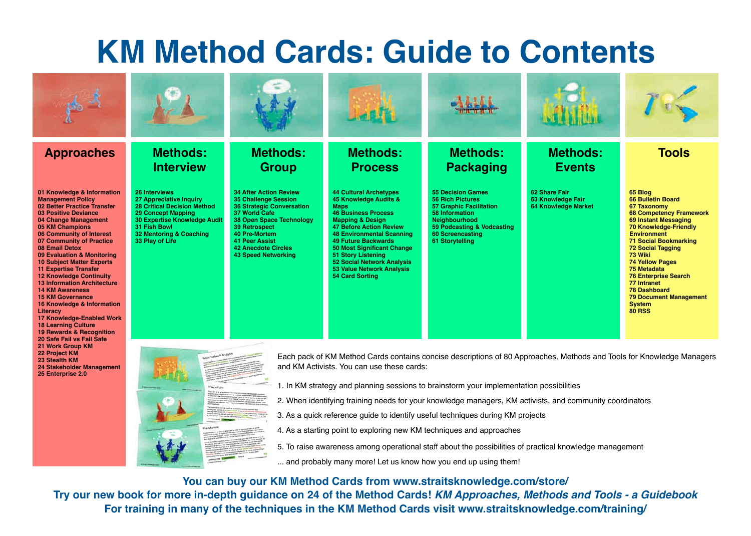## **KM Method Cards: Guide to Contents**

| <b>Approaches</b>                                                                                                                                                                                                                                                                                                                                                                                                                                                                                                                                                                                                                                               | <b>Methods:</b><br><b>Interview</b>                                                                                                                                                                                                                                            | <b>Methods:</b><br><b>Group</b>                                                                                                                                                                                                                                                    | <b>Methods:</b><br><b>Process</b>                                                                                                                                                                                                                                                                                                                                                      | <b>Methods:</b><br><b>Packaging</b>                                                                                                                                                           | <b>Methods:</b><br><b>Events</b>                                 | <b>Tools</b>                                                                                                                                                                                                                                                                                                                                                                                                               |
|-----------------------------------------------------------------------------------------------------------------------------------------------------------------------------------------------------------------------------------------------------------------------------------------------------------------------------------------------------------------------------------------------------------------------------------------------------------------------------------------------------------------------------------------------------------------------------------------------------------------------------------------------------------------|--------------------------------------------------------------------------------------------------------------------------------------------------------------------------------------------------------------------------------------------------------------------------------|------------------------------------------------------------------------------------------------------------------------------------------------------------------------------------------------------------------------------------------------------------------------------------|----------------------------------------------------------------------------------------------------------------------------------------------------------------------------------------------------------------------------------------------------------------------------------------------------------------------------------------------------------------------------------------|-----------------------------------------------------------------------------------------------------------------------------------------------------------------------------------------------|------------------------------------------------------------------|----------------------------------------------------------------------------------------------------------------------------------------------------------------------------------------------------------------------------------------------------------------------------------------------------------------------------------------------------------------------------------------------------------------------------|
| 01 Knowledge & Information<br><b>Management Policy</b><br>02 Better Practice Transfer<br><b>03 Positive Deviance</b><br>04 Change Management<br><b>05 KM Champions</b><br>06 Community of Interest<br>07 Community of Practice<br>08 Email Detox<br>09 Evaluation & Monitoring<br><b>10 Subject Matter Experts</b><br><b>11 Expertise Transfer</b><br><b>12 Knowledge Continuity</b><br><b>13 Information Architecture</b><br><b>14 KM Awareness</b><br><b>15 KM Governance</b><br>16 Knowledge & Information<br>Literacy<br><b>17 Knowledge-Enabled Work</b><br><b>18 Learning Culture</b><br><b>19 Rewards &amp; Recognition</b><br>20 Safe Fail vs Fail Safe | <b>26 Interviews</b><br>27 Appreciative Inquiry<br><b>28 Critical Decision Method</b><br><b>29 Concept Mapping</b><br><b>30 Expertise Knowledge Audit</b><br>31 Fish Bowl<br>32 Mentoring & Coaching<br>33 Play of Life                                                        | <b>34 After Action Review</b><br><b>35 Challenge Session</b><br><b>36 Strategic Conversation</b><br>37 World Cafe<br><b>38 Open Space Technology</b><br><b>39 Retrospect</b><br>40 Pre-Mortem<br><b>41 Peer Assist</b><br><b>42 Anecdote Circles</b><br><b>43 Speed Networking</b> | <b>44 Cultural Archetypes</b><br>45 Knowledge Audits &<br><b>Maps</b><br><b>46 Business Process</b><br><b>Mapping &amp; Design</b><br><b>47 Before Action Review</b><br><b>48 Environmental Scanning</b><br><b>49 Future Backwards</b><br>50 Most Significant Change<br><b>51 Story Listening</b><br>52 Social Network Analysis<br>53 Value Network Analysis<br><b>54 Card Sorting</b> | <b>55 Decision Games</b><br><b>56 Rich Pictures</b><br><b>57 Graphic Facilitation</b><br>58 Information<br>Neighbourhood<br>59 Podcasting & Vodcasting<br>60 Screencasting<br>61 Storytelling | 62 Share Fair<br>63 Knowledge Fair<br><b>64 Knowledge Market</b> | 65 Blog<br><b>66 Bulletin Board</b><br><b>67 Taxonomy</b><br><b>68 Competency Framework</b><br>69 Instant Messaging<br>70 Knowledge-Friendly<br><b>Environment</b><br><b>71 Social Bookmarking</b><br><b>72 Social Tagging</b><br>73 Wiki<br><b>74 Yellow Pages</b><br>75 Metadata<br><b>76 Enterprise Search</b><br>77 Intranet<br><b>78 Dashboard</b><br><b>79 Document Management</b><br><b>System</b><br><b>80 RSS</b> |
| 21 Work Group KM<br>22 Project KM<br>23 Stealth KM<br>24 Stakeholder Management<br>25 Enterprise 2.0                                                                                                                                                                                                                                                                                                                                                                                                                                                                                                                                                            | Each pack of KM Method Cards contains concise descriptions of 80 Approaches, Methods and Tools for Knowledge Managers<br>and KM Activists. You can use these cards:<br>1. In KM strategy and planning sessions to brainstorm your implementation possibilities<br>Play of Lite |                                                                                                                                                                                                                                                                                    |                                                                                                                                                                                                                                                                                                                                                                                        |                                                                                                                                                                                               |                                                                  |                                                                                                                                                                                                                                                                                                                                                                                                                            |

- 2. When identifying training needs for your knowledge managers, KM activists, and community coordinators
- 3. As a quick reference guide to identify useful techniques during KM projects
- 4. As a starting point to exploring new KM techniques and approaches
- 5. To raise awareness among operational staff about the possibilities of practical knowledge management

... and probably many more! Let us know how you end up using them!

**You can buy our KM Method Cards from www.straitsknowledge.com/store/**

**Try our new book for more in-depth guidance on 24 of the Method Cards!** *KM Approaches, Methods and Tools - a Guidebook* **For training in many of the techniques in the KM Method Cards visit www.straitsknowledge.com/training/**